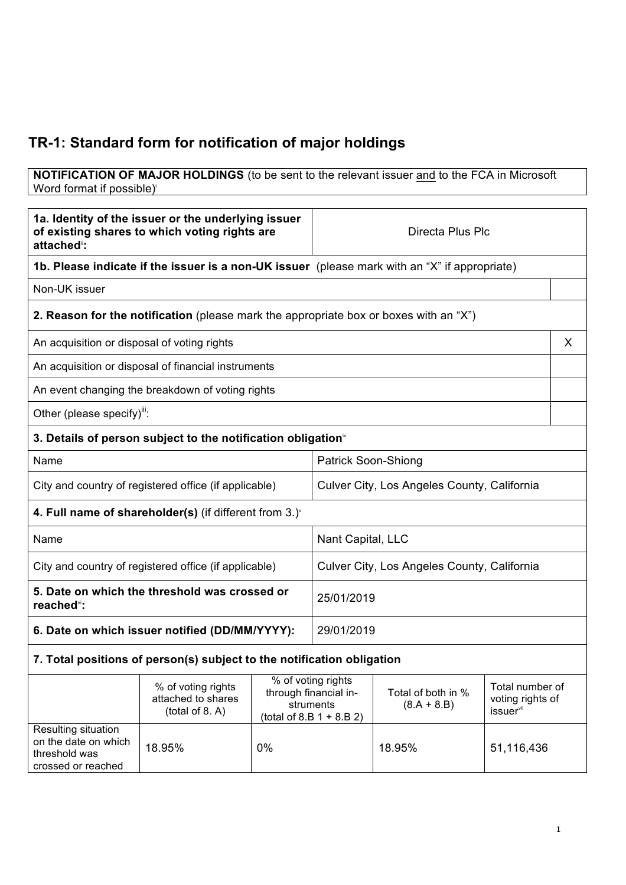## **TR-1: Standard form for notification of major holdings**

## **NOTIFICATION OF MAJOR HOLDINGS** (to be sent to the relevant issuer and to the FCA in Microsoft Word format if possible)

| 1a. Identity of the issuer or the underlying issuer<br>of existing shares to which voting rights are<br>attached": |                                                                                               |    | Directa Plus Plc                                                                        |                                     |                                                              |   |
|--------------------------------------------------------------------------------------------------------------------|-----------------------------------------------------------------------------------------------|----|-----------------------------------------------------------------------------------------|-------------------------------------|--------------------------------------------------------------|---|
|                                                                                                                    | 1b. Please indicate if the issuer is a non-UK issuer (please mark with an "X" if appropriate) |    |                                                                                         |                                     |                                                              |   |
| Non-UK issuer                                                                                                      |                                                                                               |    |                                                                                         |                                     |                                                              |   |
|                                                                                                                    | <b>2. Reason for the notification</b> (please mark the appropriate box or boxes with an "X")  |    |                                                                                         |                                     |                                                              |   |
| An acquisition or disposal of voting rights                                                                        |                                                                                               |    |                                                                                         |                                     |                                                              | X |
|                                                                                                                    | An acquisition or disposal of financial instruments                                           |    |                                                                                         |                                     |                                                              |   |
|                                                                                                                    | An event changing the breakdown of voting rights                                              |    |                                                                                         |                                     |                                                              |   |
| Other (please specify)":                                                                                           |                                                                                               |    |                                                                                         |                                     |                                                              |   |
|                                                                                                                    | 3. Details of person subject to the notification obligation <sup>*</sup>                      |    |                                                                                         |                                     |                                                              |   |
| Name                                                                                                               |                                                                                               |    | <b>Patrick Soon-Shiong</b>                                                              |                                     |                                                              |   |
| City and country of registered office (if applicable)                                                              |                                                                                               |    | Culver City, Los Angeles County, California                                             |                                     |                                                              |   |
| 4. Full name of shareholder(s) (if different from $3.$ ) <sup>*</sup>                                              |                                                                                               |    |                                                                                         |                                     |                                                              |   |
| Name                                                                                                               |                                                                                               |    | Nant Capital, LLC                                                                       |                                     |                                                              |   |
| City and country of registered office (if applicable)                                                              |                                                                                               |    | Culver City, Los Angeles County, California                                             |                                     |                                                              |   |
| 5. Date on which the threshold was crossed or<br>reached <sup>vi</sup> :                                           |                                                                                               |    | 25/01/2019                                                                              |                                     |                                                              |   |
| 6. Date on which issuer notified (DD/MM/YYYY):                                                                     |                                                                                               |    | 29/01/2019                                                                              |                                     |                                                              |   |
| 7. Total positions of person(s) subject to the notification obligation                                             |                                                                                               |    |                                                                                         |                                     |                                                              |   |
|                                                                                                                    | % of voting rights<br>attached to shares<br>(total of 8. A)                                   |    | % of voting rights<br>through financial in-<br>struments<br>(total of 8.B $1 + 8.B 2$ ) | Total of both in %<br>$(8.A + 8.B)$ | Total number of<br>voting rights of<br>issuer <sup>vii</sup> |   |
| Resulting situation<br>on the date on which<br>threshold was<br>crossed or reached                                 | 18.95%                                                                                        | 0% |                                                                                         | 18.95%                              | 51,116,436                                                   |   |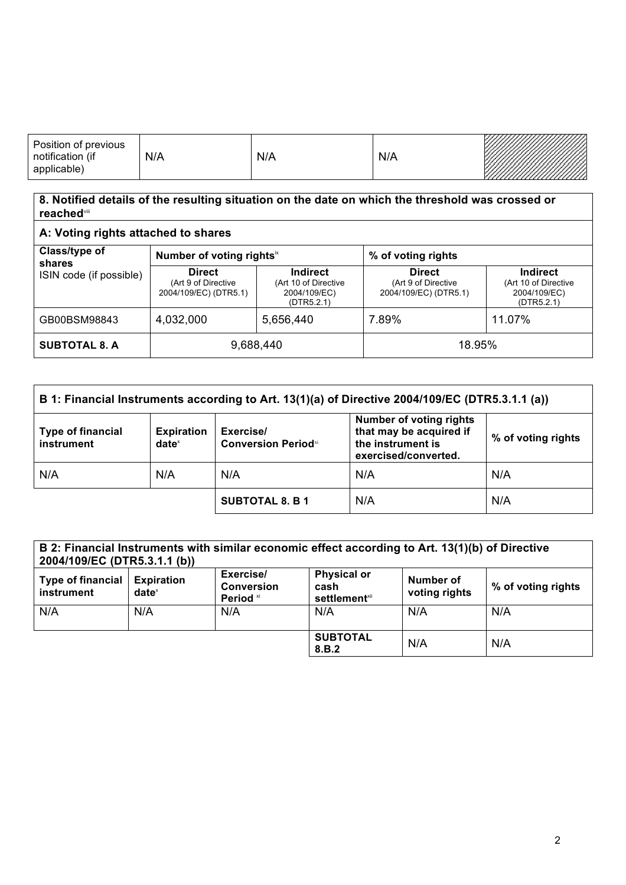| Position of previous<br>notification<br>(if<br>applicable) | N/A | N/A | N/A | ------------<br><u>VIIIIIIIIIIIIIIII</u> III |
|------------------------------------------------------------|-----|-----|-----|----------------------------------------------|
|------------------------------------------------------------|-----|-----|-----|----------------------------------------------|

## **8. Notified details of the resulting situation on the date on which the threshold was crossed or reached**viii

| A: Voting rights attached to shares                |                                                               |                                                                       |                                                               |                                                                       |
|----------------------------------------------------|---------------------------------------------------------------|-----------------------------------------------------------------------|---------------------------------------------------------------|-----------------------------------------------------------------------|
| Class/type of<br>shares<br>ISIN code (if possible) | Number of voting rightsix                                     |                                                                       | % of voting rights                                            |                                                                       |
|                                                    | <b>Direct</b><br>(Art 9 of Directive<br>2004/109/EC) (DTR5.1) | <b>Indirect</b><br>(Art 10 of Directive<br>2004/109/EC)<br>(DTR5.2.1) | <b>Direct</b><br>(Art 9 of Directive<br>2004/109/EC) (DTR5.1) | <b>Indirect</b><br>(Art 10 of Directive<br>2004/109/EC)<br>(DTR5.2.1) |
| GB00BSM98843                                       | 4,032,000                                                     | 5,656,440                                                             | 7.89%                                                         | 11.07%                                                                |
| <b>SUBTOTAL 8. A</b>                               | 9,688,440                                                     |                                                                       | 18.95%                                                        |                                                                       |

| B 1: Financial Instruments according to Art. 13(1)(a) of Directive 2004/109/EC (DTR5.3.1.1 (a)) |                               |                                                                                                                                                               |     |                    |
|-------------------------------------------------------------------------------------------------|-------------------------------|---------------------------------------------------------------------------------------------------------------------------------------------------------------|-----|--------------------|
| <b>Type of financial</b><br>instrument                                                          | <b>Expiration</b><br>$date^x$ | <b>Number of voting rights</b><br>that may be acquired if<br>Exercise/<br>the instrument is<br><b>Conversion Period</b> <sup>xi</sup><br>exercised/converted. |     | % of voting rights |
| N/A                                                                                             | N/A                           | N/A                                                                                                                                                           | N/A | N/A                |
|                                                                                                 |                               | <b>SUBTOTAL 8. B 1</b>                                                                                                                                        | N/A | N/A                |

| B 2: Financial Instruments with similar economic effect according to Art. 13(1)(b) of Directive<br>2004/109/EC (DTR5.3.1.1 (b)) |                               |                                             |                                                         |                            |                    |
|---------------------------------------------------------------------------------------------------------------------------------|-------------------------------|---------------------------------------------|---------------------------------------------------------|----------------------------|--------------------|
| <b>Type of financial</b><br>instrument                                                                                          | <b>Expiration</b><br>$date^x$ | Exercise/<br><b>Conversion</b><br>Period xi | <b>Physical or</b><br>cash<br>settlement <sup>xii</sup> | Number of<br>voting rights | % of voting rights |
| N/A                                                                                                                             | N/A                           | N/A                                         | N/A                                                     | N/A                        | N/A                |
|                                                                                                                                 |                               |                                             | <b>SUBTOTAL</b><br>8.B.2                                | N/A                        | N/A                |